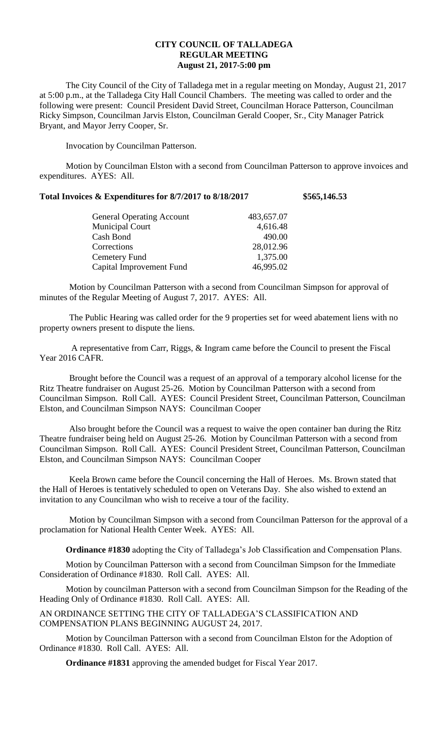## **CITY COUNCIL OF TALLADEGA REGULAR MEETING August 21, 2017-5:00 pm**

The City Council of the City of Talladega met in a regular meeting on Monday, August 21, 2017 at 5:00 p.m., at the Talladega City Hall Council Chambers. The meeting was called to order and the following were present: Council President David Street, Councilman Horace Patterson, Councilman Ricky Simpson, Councilman Jarvis Elston, Councilman Gerald Cooper, Sr., City Manager Patrick Bryant, and Mayor Jerry Cooper, Sr.

Invocation by Councilman Patterson.

Motion by Councilman Elston with a second from Councilman Patterson to approve invoices and expenditures. AYES: All.

## **Total Invoices & Expenditures for 8/7/2017 to 8/18/2017 \$565,146.53**

| <b>General Operating Account</b> | 483,657.07 |
|----------------------------------|------------|
| <b>Municipal Court</b>           | 4,616.48   |
| Cash Bond                        | 490.00     |
| Corrections                      | 28,012.96  |
| Cemetery Fund                    | 1,375.00   |
| Capital Improvement Fund         | 46,995.02  |
|                                  |            |

Motion by Councilman Patterson with a second from Councilman Simpson for approval of minutes of the Regular Meeting of August 7, 2017. AYES: All.

The Public Hearing was called order for the 9 properties set for weed abatement liens with no property owners present to dispute the liens.

A representative from Carr, Riggs, & Ingram came before the Council to present the Fiscal Year 2016 CAFR.

Brought before the Council was a request of an approval of a temporary alcohol license for the Ritz Theatre fundraiser on August 25-26. Motion by Councilman Patterson with a second from Councilman Simpson. Roll Call. AYES: Council President Street, Councilman Patterson, Councilman Elston, and Councilman Simpson NAYS: Councilman Cooper

Also brought before the Council was a request to waive the open container ban during the Ritz Theatre fundraiser being held on August 25-26. Motion by Councilman Patterson with a second from Councilman Simpson. Roll Call. AYES: Council President Street, Councilman Patterson, Councilman Elston, and Councilman Simpson NAYS: Councilman Cooper

Keela Brown came before the Council concerning the Hall of Heroes. Ms. Brown stated that the Hall of Heroes is tentatively scheduled to open on Veterans Day. She also wished to extend an invitation to any Councilman who wish to receive a tour of the facility.

Motion by Councilman Simpson with a second from Councilman Patterson for the approval of a proclamation for National Health Center Week. AYES: All.

**Ordinance #1830** adopting the City of Talladega's Job Classification and Compensation Plans.

Motion by Councilman Patterson with a second from Councilman Simpson for the Immediate Consideration of Ordinance #1830. Roll Call. AYES: All.

Motion by councilman Patterson with a second from Councilman Simpson for the Reading of the Heading Only of Ordinance #1830. Roll Call. AYES: All.

AN ORDINANCE SETTING THE CITY OF TALLADEGA'S CLASSIFICATION AND COMPENSATION PLANS BEGINNING AUGUST 24, 2017.

Motion by Councilman Patterson with a second from Councilman Elston for the Adoption of Ordinance #1830. Roll Call. AYES: All.

**Ordinance #1831** approving the amended budget for Fiscal Year 2017.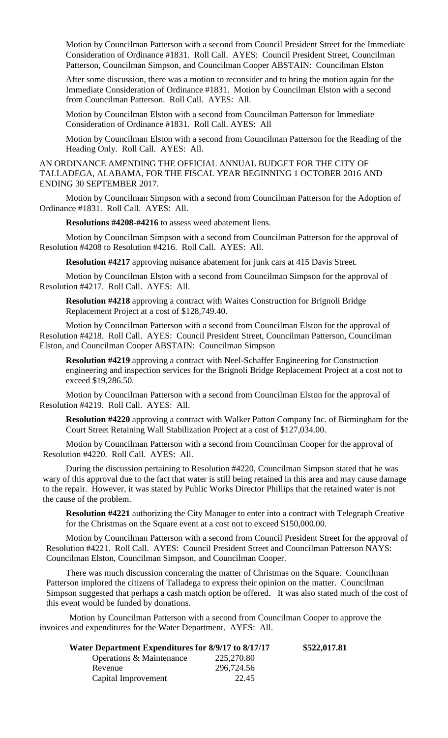Motion by Councilman Patterson with a second from Council President Street for the Immediate Consideration of Ordinance #1831. Roll Call. AYES: Council President Street, Councilman Patterson, Councilman Simpson, and Councilman Cooper ABSTAIN: Councilman Elston

After some discussion, there was a motion to reconsider and to bring the motion again for the Immediate Consideration of Ordinance #1831. Motion by Councilman Elston with a second from Councilman Patterson. Roll Call. AYES: All.

Motion by Councilman Elston with a second from Councilman Patterson for Immediate Consideration of Ordinance #1831. Roll Call. AYES: All

Motion by Councilman Elston with a second from Councilman Patterson for the Reading of the Heading Only. Roll Call. AYES: All.

AN ORDINANCE AMENDING THE OFFICIAL ANNUAL BUDGET FOR THE CITY OF TALLADEGA, ALABAMA, FOR THE FISCAL YEAR BEGINNING 1 OCTOBER 2016 AND ENDING 30 SEPTEMBER 2017.

Motion by Councilman Simpson with a second from Councilman Patterson for the Adoption of Ordinance #1831. Roll Call. AYES: All.

**Resolutions #4208-#4216** to assess weed abatement liens.

Motion by Councilman Simpson with a second from Councilman Patterson for the approval of Resolution #4208 to Resolution #4216. Roll Call. AYES: All.

**Resolution #4217** approving nuisance abatement for junk cars at 415 Davis Street.

Motion by Councilman Elston with a second from Councilman Simpson for the approval of Resolution #4217. Roll Call. AYES: All.

**Resolution #4218** approving a contract with Waites Construction for Brignoli Bridge Replacement Project at a cost of \$128,749.40.

Motion by Councilman Patterson with a second from Councilman Elston for the approval of Resolution #4218. Roll Call. AYES: Council President Street, Councilman Patterson, Councilman Elston, and Councilman Cooper ABSTAIN: Councilman Simpson

**Resolution #4219** approving a contract with Neel-Schaffer Engineering for Construction engineering and inspection services for the Brignoli Bridge Replacement Project at a cost not to exceed \$19,286.50.

Motion by Councilman Patterson with a second from Councilman Elston for the approval of Resolution #4219. Roll Call. AYES: All.

**Resolution #4220** approving a contract with Walker Patton Company Inc. of Birmingham for the Court Street Retaining Wall Stabilization Project at a cost of \$127,034.00.

Motion by Councilman Patterson with a second from Councilman Cooper for the approval of Resolution #4220. Roll Call. AYES: All.

During the discussion pertaining to Resolution #4220, Councilman Simpson stated that he was wary of this approval due to the fact that water is still being retained in this area and may cause damage to the repair. However, it was stated by Public Works Director Phillips that the retained water is not the cause of the problem.

**Resolution #4221** authorizing the City Manager to enter into a contract with Telegraph Creative for the Christmas on the Square event at a cost not to exceed \$150,000.00.

Motion by Councilman Patterson with a second from Council President Street for the approval of Resolution #4221. Roll Call. AYES: Council President Street and Councilman Patterson NAYS: Councilman Elston, Councilman Simpson, and Councilman Cooper.

There was much discussion concerning the matter of Christmas on the Square. Councilman Patterson implored the citizens of Talladega to express their opinion on the matter. Councilman Simpson suggested that perhaps a cash match option be offered. It was also stated much of the cost of this event would be funded by donations.

Motion by Councilman Patterson with a second from Councilman Cooper to approve the invoices and expenditures for the Water Department. AYES: All.

| Water Department Expenditures for 8/9/17 to 8/17/17 |            | \$522,017.81 |
|-----------------------------------------------------|------------|--------------|
| Operations & Maintenance                            | 225,270.80 |              |
| Revenue                                             | 296,724.56 |              |
| Capital Improvement                                 | 22.45      |              |